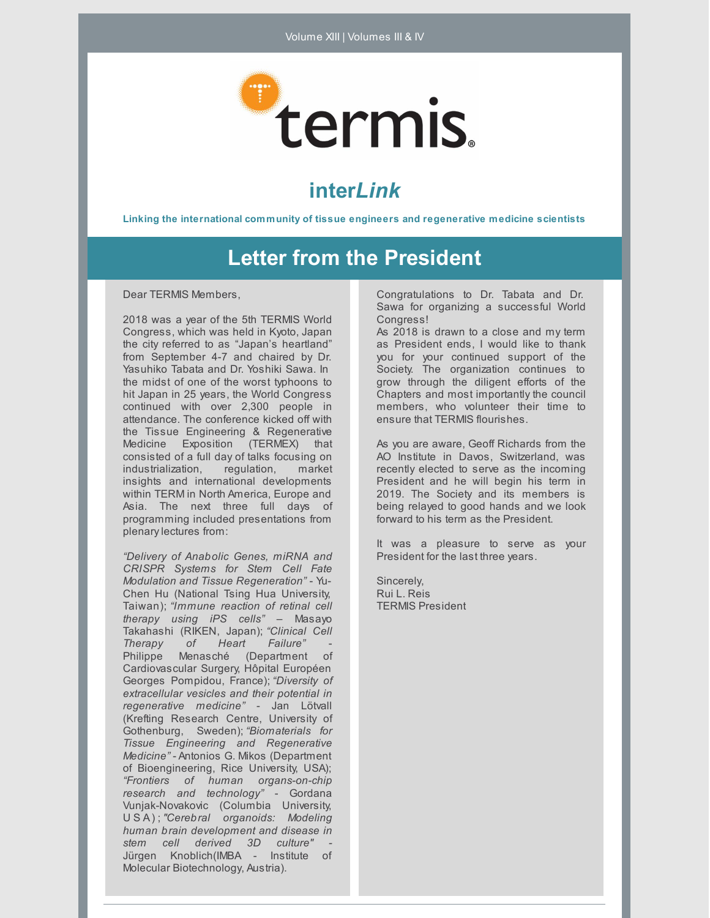

## **inter***Link*

**Linking the international community of tissue engineers and regenerative medicine scientists**

## **Letter from the President**

Dear TERMIS Members,

2018 was a year of the 5th TERMIS World Congress, which was held in Kyoto, Japan the city referred to as "Japan's heartland" from September 4-7 and chaired by Dr. Yasuhiko Tabata and Dr. Yoshiki Sawa. In the midst of one of the worst typhoons to hit Japan in 25 years, the World Congress continued with over 2,300 people in attendance. The conference kicked off with the Tissue Engineering & Regenerative Medicine Exposition (TERMEX) that consisted of a full day of talks focusing on industrialization, regulation, market insights and international developments within TERM in North America, Europe and Asia. The next three full days of programming included presentations from plenarylectures from:

*"Delivery of Anabolic Genes, miRNA and CRISPR Systems for Stem Cell Fate Modulation and Tissue Regeneration"* - Yu-Chen Hu (National Tsing Hua University, Taiwan); *"Immune reaction of retinal cell therapy using iPS cells"* – Masayo Takahashi (RIKEN, Japan); *"Clinical Cell Therapy of Heart* Philippe Menasché (Department of Cardiovascular Surgery, Hôpital Européen Georges Pompidou, France); *"Diversity of extracellular vesicles and their potential in regenerative medicine"* - Jan Lötvall (Krefting Research Centre, University of Gothenburg, Sweden); *"Biomaterials for Tissue Engineering and Regenerative Medicine"* - Antonios G. Mikos (Department of Bioengineering, Rice University, USA); *"Frontiers of human organs-on-chip research and technology"* - Gordana Vunjak-Novakovic (Columbia University, U S A) ; *"Cerebral organoids: Modeling human brain development and disease in stem cell derived 3D culture" -* Jürgen Knoblich(IMBA - Institute of Molecular Biotechnology, Austria).

Congratulations to Dr. Tabata and Dr. Sawa for organizing a successful World Congress!

As 2018 is drawn to a close and my term as President ends, I would like to thank you for your continued support of the Society. The organization continues to grow through the diligent efforts of the Chapters and most importantly the council members, who volunteer their time to ensure that TERMIS flourishes.

As you are aware, Geoff Richards from the AO Institute in Davos, Switzerland, was recently elected to serve as the incoming President and he will begin his term in 2019. The Society and its members is being relayed to good hands and we look forward to his term as the President.

It was a pleasure to serve as your President for the last three years.

Sincerely, Rui L. Reis TERMIS President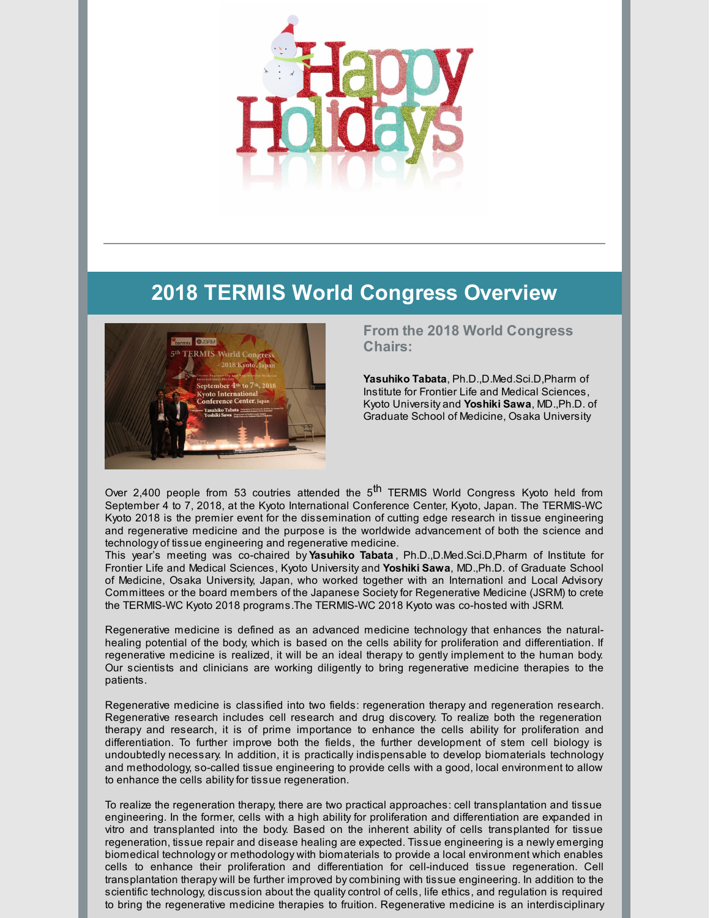

# **2018 TERMIS World Congress Overview**



### **From the 2018 World Congress Chairs:**

**Yasuhiko Tabata**, Ph.D.,D.Med.Sci.D,Pharm of Institute for Frontier Life and Medical Sciences, Kyoto University and **Yoshiki Sawa**, MD.,Ph.D. of Graduate School of Medicine, Osaka University

Over 2,400 people from 53 coutries attended the 5<sup>th</sup> TERMIS World Congress Kyoto held from September 4 to 7, 2018, at the Kyoto International Conference Center, Kyoto, Japan. The TERMIS-WC Kyoto 2018 is the premier event for the dissemination of cutting edge research in tissue engineering and regenerative medicine and the purpose is the worldwide advancement of both the science and technology of tissue engineering and regenerative medicine.

This year's meeting was co-chaired by **Yasuhiko Tabata** , Ph.D.,D.Med.Sci.D,Pharm of Institute for Frontier Life and Medical Sciences, Kyoto University and **Yoshiki Sawa**, MD.,Ph.D. of Graduate School of Medicine, Osaka University, Japan, who worked together with an Internationl and Local Advisory Committees or the board members of the Japanese Societyfor Regenerative Medicine (JSRM) to crete the TERMIS-WC Kyoto 2018 programs.The TERMIS-WC 2018 Kyoto was co-hosted with JSRM.

Regenerative medicine is defined as an advanced medicine technology that enhances the naturalhealing potential of the body, which is based on the cells ability for proliferation and differentiation. If regenerative medicine is realized, it will be an ideal therapy to gently implement to the human body. Our scientists and clinicians are working diligently to bring regenerative medicine therapies to the patients.

Regenerative medicine is classified into two fields: regeneration therapy and regeneration research. Regenerative research includes cell research and drug discovery. To realize both the regeneration therapy and research, it is of prime importance to enhance the cells ability for proliferation and differentiation. To further improve both the fields, the further development of stem cell biology is undoubtedly necessary. In addition, it is practically indispensable to develop biomaterials technology and methodology, so-called tissue engineering to provide cells with a good, local environment to allow to enhance the cells ability for tissue regeneration.

To realize the regeneration therapy, there are two practical approaches: cell transplantation and tissue engineering. In the former, cells with a high ability for proliferation and differentiation are expanded in vitro and transplanted into the body. Based on the inherent ability of cells transplanted for tissue regeneration, tissue repair and disease healing are expected. Tissue engineering is a newly emerging biomedical technology or methodology with biomaterials to provide a local environment which enables cells to enhance their proliferation and differentiation for cell-induced tissue regeneration. Cell transplantation therapy will be further improved bycombining with tissue engineering. In addition to the scientific technology, discussion about the quality control of cells, life ethics, and regulation is required to bring the regenerative medicine therapies to fruition. Regenerative medicine is an interdisciplinary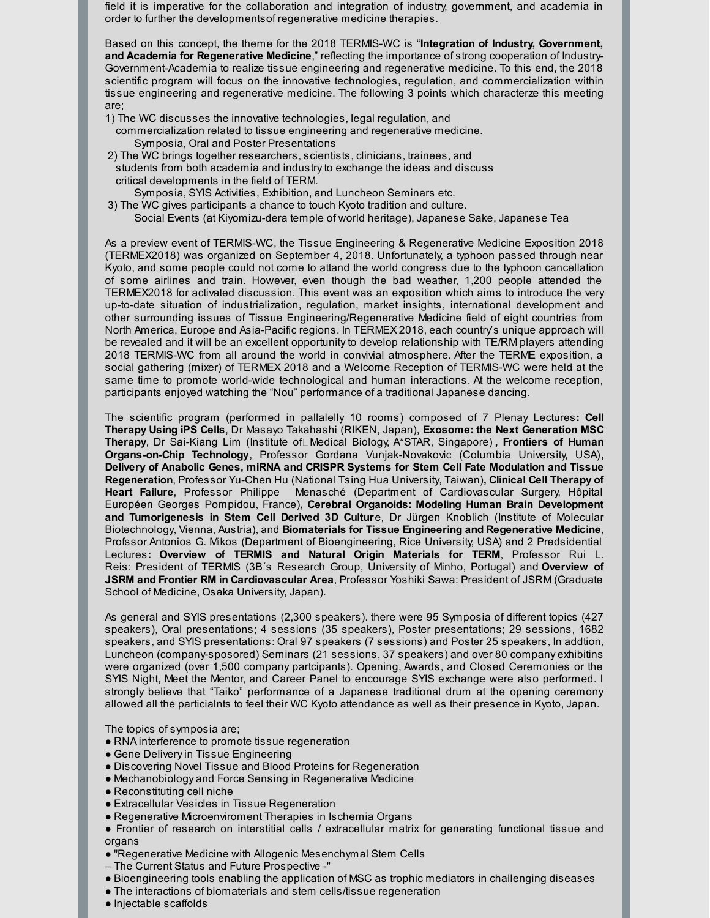field it is imperative for the collaboration and integration of industry, government, and academia in order to further the developmentsof regenerative medicine therapies.

Based on this concept, the theme for the 2018 TERMIS-WC is "**Integration of Industry, Government, and Academia for Regenerative Medicine**," reflecting the importance of strong cooperation of Industry-Government-Academia to realize tissue engineering and regenerative medicine. To this end, the 2018 scientific program will focus on the innovative technologies, regulation, and commercialization within tissue engineering and regenerative medicine. The following 3 points which characterze this meeting are;

- 1) The WC discusses the innovative technologies, legal regulation, and commercialization related to tissue engineering and regenerative medicine. Symposia, Oral and Poster Presentations
- 2) The WC brings together researchers, scientists, clinicians, trainees, and students from both academia and industryto exchange the ideas and discuss critical developments in the field of TERM.

Symposia, SYIS Activities, Exhibition, and Luncheon Seminars etc.

- 3) The WC gives participants a chance to touch Kyoto tradition and culture.
	- Social Events (at Kiyomizu-dera temple of world heritage), Japanese Sake, Japanese Tea

As a preview event of TERMIS-WC, the Tissue Engineering & Regenerative Medicine Exposition 2018 (TERMEX2018) was organized on September 4, 2018. Unfortunately, a typhoon passed through near Kyoto, and some people could not come to attand the world congress due to the typhoon cancellation of some airlines and train. However, even though the bad weather, 1,200 people attended the TERMEX2018 for activated discussion. This event was an exposition which aims to introduce the very up-to-date situation of industrialization, regulation, market insights, international development and other surrounding issues of Tissue Engineering/Regenerative Medicine field of eight countries from North America, Europe and Asia-Pacific regions. In TERMEX 2018, each country's unique approach will be revealed and it will be an excellent opportunity to develop relationship with TE/RM players attending 2018 TERMIS-WC from all around the world in convivial atmosphere. After the TERME exposition, a social gathering (mixer) of TERMEX 2018 and a Welcome Reception of TERMIS-WC were held at the same time to promote world-wide technological and human interactions. At the welcome reception, participants enjoyed watching the "Nou" performance of a traditional Japanese dancing.

The scientific program (performed in pallalelly 10 rooms) composed of 7 Plenay Lectures**: Cell Therapy Using iPS Cells**, Dr Masayo Takahashi (RIKEN, Japan), **Exosome: the Next Generation MSC Therapy**, Dr Sai-Kiang Lim (Institute of□Medical Biology, A\*STAR, Singapore), **Frontiers of Human Organs-on-Chip Technology**, Professor Gordana Vunjak-Novakovic (Columbia University, USA)**, Delivery of Anabolic Genes, miRNA and CRISPR Systems for Stem Cell Fate Modulation and Tissue Regeneration**, Professor Yu-Chen Hu (National Tsing Hua University, Taiwan)**, Clinical Cell Therapy of Heart Failure**, Professor Philippe Menasché (Department of Cardiovascular Surgery, Hôpital Européen Georges Pompidou, France)**, Cerebral Organoids: Modeling Human Brain Development and Tumorigenesis in Stem Cell Derived 3D Cultur**e, Dr Jürgen Knoblich (Institute of Molecular Biotechnology, Vienna, Austria), and **Biomaterials for Tissue Engineering and Regenerative Medicine**, Profssor Antonios G. Mikos (Department of Bioengineering, Rice University, USA) and 2 Predsidential Lectures**: Overview of TERMIS and Natural Origin Materials for TERM**, Professor Rui L. Reis: President of TERMIS (3B´s Research Group, University of Minho, Portugal) and **Overview of JSRM and Frontier RM in Cardiovascular Area**, Professor Yoshiki Sawa: President of JSRM (Graduate School of Medicine, Osaka University, Japan).

As general and SYIS presentations (2,300 speakers). there were 95 Symposia of different topics (427 speakers), Oral presentations; 4 sessions (35 speakers), Poster presentations; 29 sessions, 1682 speakers, and SYIS presentations: Oral 97 speakers (7 sessions) and Poster 25 speakers, In addtion, Luncheon (company-sposored) Seminars (21 sessions, 37 speakers) and over 80 company exhibitins were organized (over 1,500 company partcipants). Opening, Awards, and Closed Ceremonies or the SYIS Night, Meet the Mentor, and Career Panel to encourage SYIS exchange were also performed. I strongly believe that "Taiko" performance of a Japanese traditional drum at the opening ceremony allowed all the particialnts to feel their WC Kyoto attendance as well as their presence in Kyoto, Japan.

The topics of symposia are;

- RNA interference to promote tissue regeneration
- Gene Delivery in Tissue Engineering
- Discovering Novel Tissue and Blood Proteins for Regeneration
- Mechanobiology and Force Sensing in Regenerative Medicine
- Reconstituting cell niche
- Extracellular Vesicles in Tissue Regeneration
- Regenerative Microenviroment Therapies in Ischemia Organs
- Frontier of research on interstitial cells / extracellular matrix for generating functional tissue and organs
- "Regenerative Medicine with Allogenic Mesenchymal Stem Cells
- The Current Status and Future Prospective -"
- Bioengineering tools enabling the application of MSC as trophic mediators in challenging diseases
- The interactions of biomaterials and stem cells/tissue regeneration
- Injectable scaffolds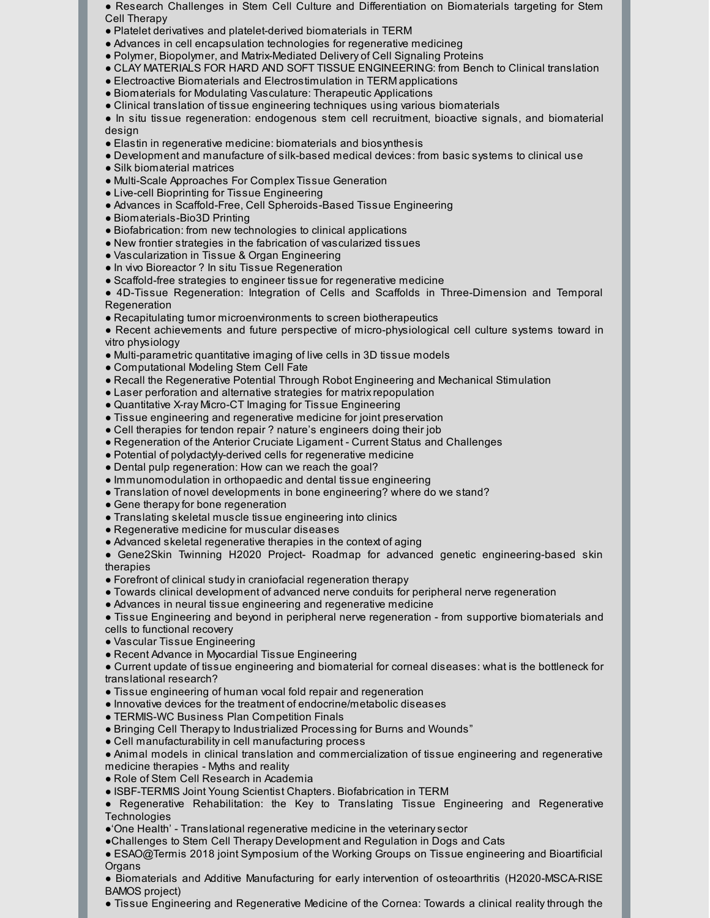● Research Challenges in Stem Cell Culture and Differentiation on Biomaterials targeting for Stem Cell Therapy

- Platelet derivatives and platelet-derived biomaterials in TERM
- Advances in cell encapsulation technologies for regenerative medicineg
- Polymer, Biopolymer, and Matrix-Mediated Delivery of Cell Signaling Proteins
- CLAY MATERIALS FOR HARD AND SOFT TISSUE ENGINEERING: from Bench to Clinical translation
- Electroactive Biomaterials and Electrostimulation in TERM applications
- Biomaterials for Modulating Vasculature: Therapeutic Applications
- Clinical translation of tissue engineering techniques using various biomaterials

● In situ tissue regeneration: endogenous stem cell recruitment, bioactive signals, and biomaterial design

- Elastin in regenerative medicine: biomaterials and biosynthesis
- Development and manufacture of silk-based medical devices: from basic systems to clinical use
- Silk biomaterial matrices
- Multi-Scale Approaches For Complex Tissue Generation
- Live-cell Bioprinting for Tissue Engineering
- Advances in Scaffold-Free, Cell Spheroids-Based Tissue Engineering
- Biomaterials-Bio3D Printing
- Biofabrication: from new technologies to clinical applications
- New frontier strategies in the fabrication of vascularized tissues
- Vascularization in Tissue & Organ Engineering
- In vivo Bioreactor ? In situ Tissue Regeneration
- Scaffold-free strategies to engineer tissue for regenerative medicine

● 4D-Tissue Regeneration: Integration of Cells and Scaffolds in Three-Dimension and Temporal **Regeneration** 

● Recapitulating tumor microenvironments to screen biotherapeutics

● Recent achievements and future perspective of micro-physiological cell culture systems toward in vitro physiology

- Multi-parametric quantitative imaging of live cells in 3D tissue models
- Computational Modeling Stem Cell Fate
- Recall the Regenerative Potential Through Robot Engineering and Mechanical Stimulation
- Laser perforation and alternative strategies for matrix repopulation
- Quantitative X-ray Micro-CT Imaging for Tissue Engineering
- Tissue engineering and regenerative medicine for joint preservation
- Cell therapies for tendon repair ? nature's engineers doing their job
- Regeneration of the Anterior Cruciate Ligament Current Status and Challenges
- Potential of polydactyly-derived cells for regenerative medicine
- Dental pulp regeneration: How can we reach the goal?
- Immunomodulation in orthopaedic and dental tissue engineering
- Translation of novel developments in bone engineering? where do we stand?
- Gene therapy for bone regeneration
- Translating skeletal muscle tissue engineering into clinics
- Regenerative medicine for muscular diseases
- Advanced skeletal regenerative therapies in the context of aging

● Gene2Skin Twinning H2020 Project- Roadmap for advanced genetic engineering-based skin therapies

- Forefront of clinical studyin craniofacial regeneration therapy
- Towards clinical development of advanced nerve conduits for peripheral nerve regeneration
- Advances in neural tissue engineering and regenerative medicine

● Tissue Engineering and beyond in peripheral nerve regeneration - from supportive biomaterials and cells to functional recovery

- Vascular Tissue Engineering
- Recent Advance in Myocardial Tissue Engineering

● Current update of tissue engineering and biomaterial for corneal diseases: what is the bottleneck for translational research?

- Tissue engineering of human vocal fold repair and regeneration
- Innovative devices for the treatment of endocrine/metabolic diseases
- TERMIS-WC Business Plan Competition Finals
- Bringing Cell Therapyto Industrialized Processing for Burns and Wounds"
- Cell manufacturabilityin cell manufacturing process

● Animal models in clinical translation and commercialization of tissue engineering and regenerative medicine therapies - Myths and reality

- Role of Stem Cell Research in Academia
- ISBF-TERMIS Joint Young Scientist Chapters. Biofabrication in TERM
- Regenerative Rehabilitation: the Key to Translating Tissue Engineering and Regenerative **Technologies**
- ●'One Health' Translational regenerative medicine in the veterinarysector
- ●Challenges to Stem Cell Therapy Development and Regulation in Dogs and Cats
- ESAO@Termis 2018 joint Symposium of the Working Groups on Tissue engineering and Bioartificial **Organs**

● Biomaterials and Additive Manufacturing for early intervention of osteoarthritis (H2020-MSCA-RISE BAMOS project)

● Tissue Engineering and Regenerative Medicine of the Cornea: Towards a clinical reality through the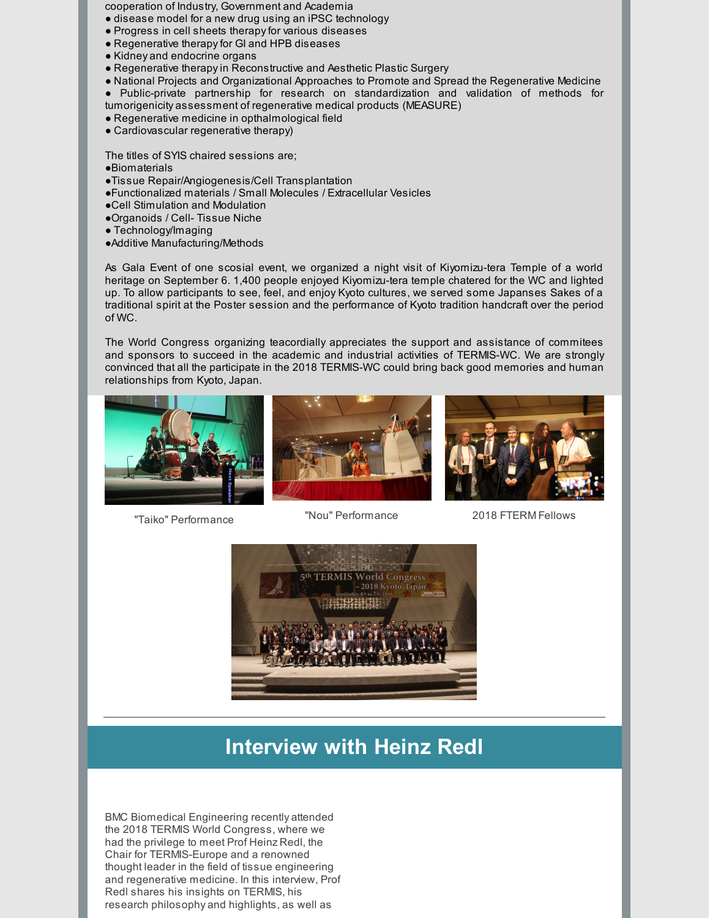cooperation of Industry, Government and Academia

- disease model for a new drug using an iPSC technology
- Progress in cell sheets therapyfor various diseases
- Regenerative therapyfor GI and HPB diseases
- Kidney and endocrine organs
- Regenerative therapyin Reconstructive and Aesthetic Plastic Surgery
- National Projects and Organizational Approaches to Promote and Spread the Regenerative Medicine
- Public-private partnership for research on standardization and validation of methods for tumorigenicity assessment of regenerative medical products (MEASURE)
- Regenerative medicine in opthalmological field
- Cardiovascular regenerative therapy)

The titles of SYIS chaired sessions are;

- ●Biomaterials
- ●Tissue Repair/Angiogenesis/Cell Transplantation
- ●Functionalized materials / Small Molecules / Extracellular Vesicles
- ●Cell Stimulation and Modulation
- ●Organoids / Cell- Tissue Niche
- Technology/Imaging
- ●Additive Manufacturing/Methods

As Gala Event of one scosial event, we organized a night visit of Kiyomizu-tera Temple of a world heritage on September 6. 1,400 people enjoyed Kiyomizu-tera temple chatered for the WC and lighted up. To allow participants to see, feel, and enjoy Kyoto cultures, we served some Japanses Sakes of a traditional spirit at the Poster session and the performance of Kyoto tradition handcraft over the period of WC.

The World Congress organizing teacordially appreciates the support and assistance of commitees and sponsors to succeed in the academic and industrial activities of TERMIS-WC. We are strongly convinced that all the participate in the 2018 TERMIS-WC could bring back good memories and human relationships from Kyoto, Japan.







"Taiko" Performance

"Nou" Performance 2018 FTERM Fellows



## **Interview with Heinz Redl**

BMC Biomedical Engineering recently attended the 2018 TERMIS World Congress, where we had the privilege to meet Prof Heinz Redl, the Chair for TERMIS-Europe and a renowned thought leader in the field of tissue engineering and regenerative medicine. In this interview, Prof Redl shares his insights on TERMIS, his research philosophy and highlights, as well as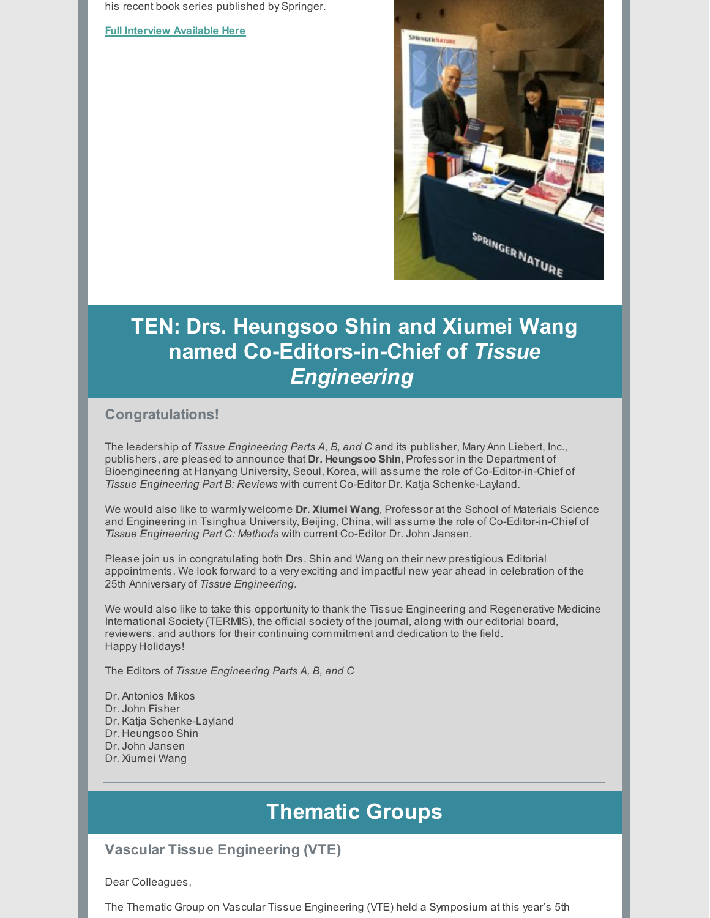his recent book series published by Springer.

#### **Full [Interview](http://blogs.biomedcentral.com/bmcseriesblog/2018/10/03/interview-chair-termis-europe-prof-heinz-redl/?utm_campaign=shareaholic&utm_medium=twitter&utm_source=socialnetwork) Available Here**



# **TEN: Drs. Heungsoo Shin and Xiumei Wang named Co-Editors-in-Chief of** *Tissue Engineering*

### **Congratulations!**

The leadership of *Tissue Engineering Parts A, B, and C* and its publisher, Mary Ann Liebert, Inc., publishers, are pleased to announce that **Dr. Heungsoo Shin**, Professor in the Department of Bioengineering at Hanyang University, Seoul, Korea, will assume the role of Co-Editor-in-Chief of *Tissue Engineering Part B: Reviews* with current Co-Editor Dr. Katja Schenke-Layland.

We would also like to warmly welcome **Dr. Xiumei Wang**, Professor at the School of Materials Science and Engineering in Tsinghua University, Beijing, China, will assume the role of Co-Editor-in-Chief of *Tissue Engineering Part C: Methods* with current Co-Editor Dr. John Jansen.

Please join us in congratulating both Drs. Shin and Wang on their new prestigious Editorial appointments. We look forward to a very exciting and impactful new year ahead in celebration of the 25th Anniversary of *Tissue Engineering*.

We would also like to take this opportunity to thank the Tissue Engineering and Regenerative Medicine International Society(TERMIS), the official society of the journal, along with our editorial board, reviewers, and authors for their continuing commitment and dedication to the field. Happy Holidays!

The Editors of *Tissue Engineering Parts A, B, and C*

Dr. Antonios Mikos Dr. John Fisher Dr. Katja Schenke-Layland Dr. Heungsoo Shin Dr. John Jansen Dr. Xiumei Wang

## **Thematic Groups**

### **Vascular Tissue Engineering (VTE)**

Dear Colleagues,

The Thematic Group on Vascular Tissue Engineering (VTE) held a Symposium at this year's 5th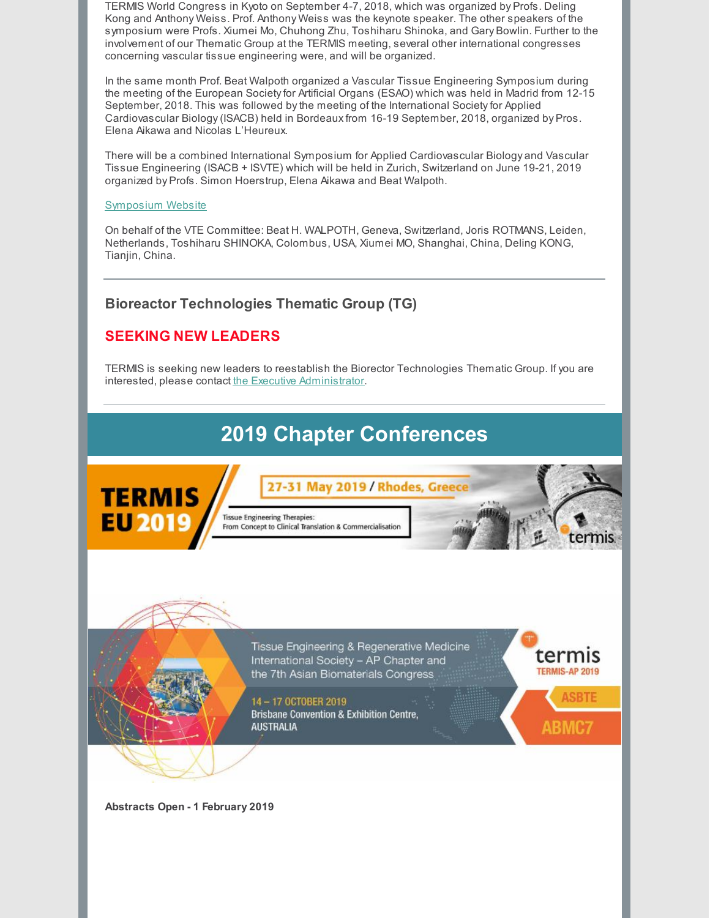TERMIS World Congress in Kyoto on September 4-7, 2018, which was organized by Profs. Deling Kong and Anthony Weiss. Prof. Anthony Weiss was the keynote speaker. The other speakers of the symposium were Profs. Xiumei Mo, Chuhong Zhu, Toshiharu Shinoka, and Gary Bowlin. Further to the involvement of our Thematic Group at the TERMIS meeting, several other international congresses concerning vascular tissue engineering were, and will be organized.

In the same month Prof. Beat Walpoth organized a Vascular Tissue Engineering Symposium during the meeting of the European Societyfor Artificial Organs (ESAO) which was held in Madrid from 12-15 September, 2018. This was followed by the meeting of the International Society for Applied Cardiovascular Biology(ISACB) held in Bordeauxfrom 16-19 September, 2018, organized by Pros. Elena Aikawa and Nicolas L'Heureux.

There will be a combined International Symposium for Applied Cardiovascular Biology and Vascular Tissue Engineering (ISACB + ISVTE) which will be held in Zurich, Switzerland on June 19-21, 2019 organized by Profs. Simon Hoerstrup, Elena Aikawa and Beat Walpoth.

#### [Symposium](http://www.irem.uzh.ch/isacb-isvte-zh2019) Website

On behalf of the VTE Committee: Beat H. WALPOTH, Geneva, Switzerland, Joris ROTMANS, Leiden, Netherlands, Toshiharu SHINOKA, Colombus, USA, Xiumei MO, Shanghai, China, Deling KONG, Tianjin, China.

### **Bioreactor Technologies Thematic Group (TG)**

## **SEEKING NEW LEADERS**

TERMIS is seeking new leaders to reestablish the Biorector Technologies Thematic Group. If you are interested, please contact the Executive [Administrator](mailto:swilburn@termis.org).

# **2019 Chapter Conferences**

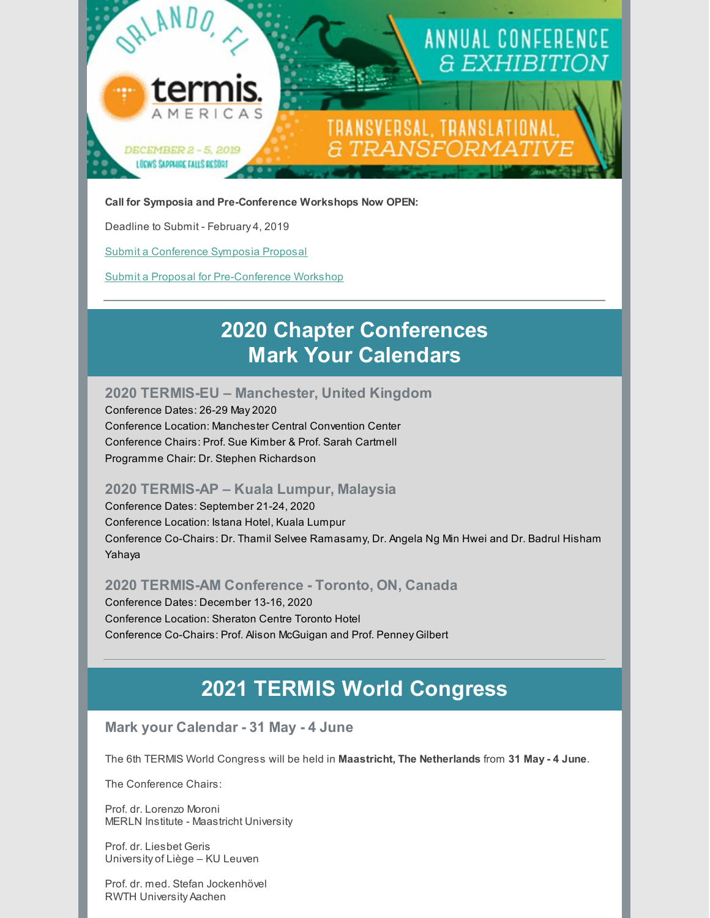

#### **Call for Symposia and Pre-Conference Workshops Now OPEN:**

Deadline to Submit - February 4, 2019

Submit a [Conference](https://form.jotform.com/81754547065160) Symposia Proposal

Submit a Proposal for [Pre-Conference](https://form.jotform.com/82825697465170) Workshop

## **2020 Chapter Conferences Mark Your Calendars**

### **2020 TERMIS-EU – Manchester, United Kingdom**

Conference Dates: 26-29 May 2020 Conference Location: Manchester Central Convention Center Conference Chairs: Prof. Sue Kimber & Prof. Sarah Cartmell Programme Chair: Dr. Stephen Richardson

#### **2020 TERMIS-AP – Kuala Lumpur, Malaysia**

Conference Dates: September 21-24, 2020 Conference Location: Istana Hotel, Kuala Lumpur Conference Co-Chairs: Dr. Thamil Selvee Ramasamy, Dr. Angela Ng Min Hwei and Dr. Badrul Hisham Yahaya

#### **2020 TERMIS-AM Conference - Toronto, ON, Canada**

Conference Dates: December 13-16, 2020 Conference Location: Sheraton Centre Toronto Hotel Conference Co-Chairs: Prof. Alison McGuigan and Prof. Penney Gilbert

## **2021 TERMIS World Congress**

### **Mark your Calendar - 31 May - 4 June**

The 6th TERMIS World Congress will be held in **Maastricht, The Netherlands** from **31 May - 4 June**.

The Conference Chairs:

Prof. dr. Lorenzo Moroni MERLN Institute - Maastricht University

Prof. dr. Liesbet Geris University of Liège – KU Leuven

Prof. dr. med. Stefan Jockenhövel RWTH University Aachen